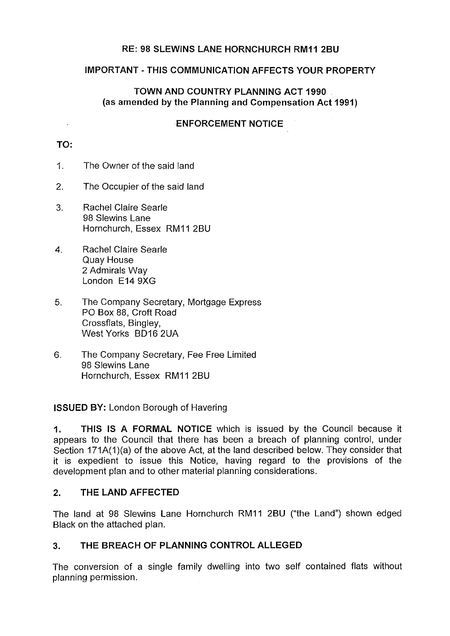# **RE: 98 SLEWINS LANE HORNCHURCH RM11 2BU**

### **IMPORTANT-THIS COMMUNICATION AFFECTS YOUR PROPERTY**

# **TOWN AND COUNTRY PLANNING ACT 1990** (as **amended by the Planning and Compensation Act 1991)**

#### **ENFORCEMENT NOTICE**

# **TO:**

 $\sim$ 

- 1. The Owner of the said land
- 2. The Occupier of the said land
- 3. Rachel Claire Searle 98 Slewins Lane Hornchurch, Essex RM11 2BU
- 4. Rachel Claire Searle Quay House 2 Admirals Way London E14 9XG
- 5. The Company Secretary, Mortgage Express PO Box 88, Croft Road Crossflats, Bingley, West Yorks BD16 2UA
- 6. The Company Secretary, Fee Free Limited 98 Slewins Lane Hornchurch, Essex RM11 2BU

### **ISSUED BY:** London Borough of Havering

**1. THIS IS A FORMAL NOTICE** which is issued by the Council because it appears to the Council that there has been a breach of planning control, under Section 171A(1)(a) of the above Act, at the land described below. They consider that it is expedient to issue this Notice, having regard to the provisions of the development plan and to other material planning considerations.

### **2. THE LAND AFFECTED**

The land at 98 Slewins Lane Hornchurch RM11 2BU ("the Land") shown edged Black on the attached plan.

### **3. THE BREACH OF PLANNING CONTROL ALLEGED**

The conversion of a single family dwelling into two self contained flats without planning permission.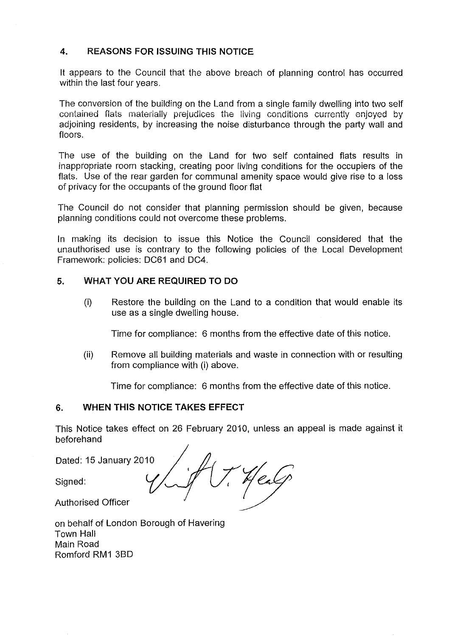### **4. REASONS FOR ISSUING THIS NOTICE**

It appears to the Council that the above breach of planning control has occurred within the last four years.

The conversion of the building on the Land from a single family dwelling into two self contained flats materially prejudices the living conditions currently enjoyed by adjoining residents, by increasing the noise disturbance through the party wall and floors.

The use of the building on the Land for two self contained flats results in inappropriate room stacking, creating poor living conditions for the occupiers of the flats. Use of the rear garden for communal amenity space would give rise to a loss of privacy for the occupants of the ground floor flat

The Council do not consider that planning permission should be given, because planning conditions could not overcome these problems.

In making its decision to issue this Notice the Council considered that the unauthorised use is contrary to the following policies of the Local Development Framework: policies: DC61 and DC4.

#### **5. WHAT YOU ARE REQUIRED TO DO**

(i) Restore the building on the Land to a condition that would enable its use as a single dwelling house.

Time for compliance: 6 months from the effective date of this notice.

(ii) Remove all building materials and waste in connection with or resulting from compliance with (i) above.

Time for compliance: 6 months from the effective date of this notice.

#### **6. WHEN THIS NOTICE TAKES EFFECT**

This Notice takes effect on 26 February 2010, unless an appeal is made against it beforehand

Dated: 15 January 2010

Signed:

Authorised Officer

on behalf of London Borough of Havering Town Hall Main Road Romford RM1 3BD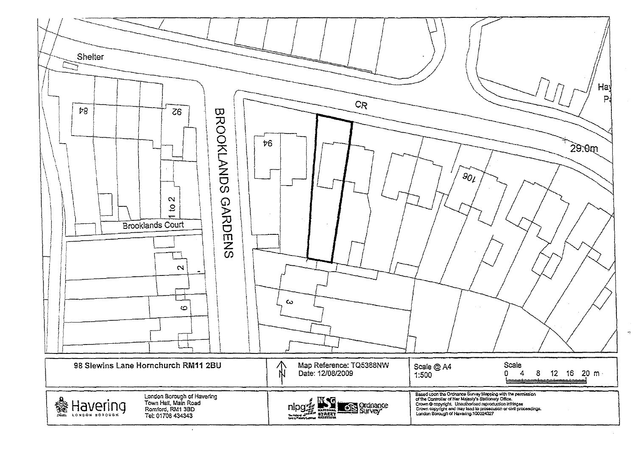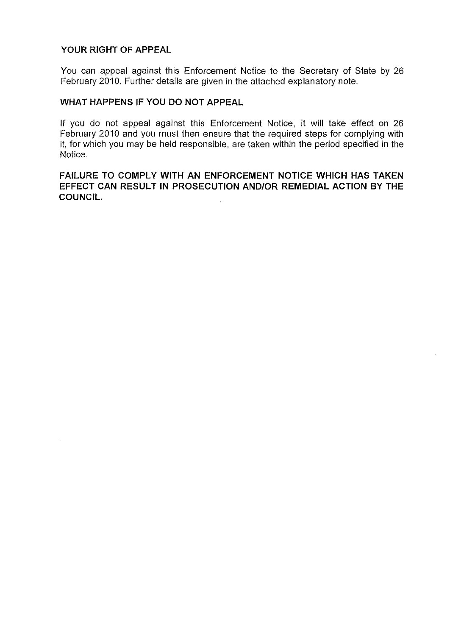# **YOUR RIGHT OF APPEAL**

You can appeal against this Enforcement Notice to the Secretary of State by 26 February 2010. Further details are given in the attached explanatory note.

# **WHAT HAPPENS IF YOU DO NOT APPEAL**

If you do not appeal against this Enforcement Notice, it will take effect on 26 February 2010 and you must then ensure that the required steps for complying with it, for which you may be held responsible, are taken within the period specified in the Notice.

# **FAILURE TO COMPLY WITH AN ENFORCEMENT NOTICE WHICH HAS TAKEN EFFECT CAN RESULT IN PROSECUTION AND/OR REMEDIAL ACTION BY THE COUNCIL.**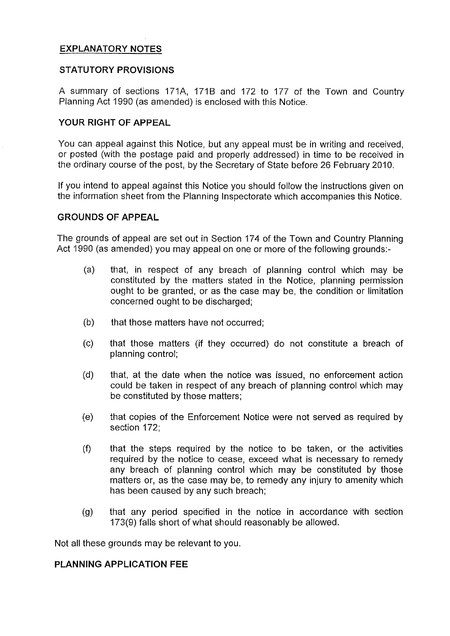# **EXPLANATORY NOTES**

#### **STATUTORY PROVISIONS**

A summary of sections 171A, 1718 and 172 to 177 of the Town and Country Planning Act 1990 (as amended) is enclosed with this Notice.

#### **YOUR RIGHT OF APPEAL**

You can appeal against this Notice, but any appeal must be in writing and received, or posted (with the postage paid and properly addressed) in time to be received in the ordinary course of the post, by the Secretary of State before 26 February 2010.

If you intend to appeal against this Notice you should follow the instructions given on the information sheet from the Planning Inspectorate which accompanies this Notice.

#### **GROUNDS OF APPEAL**

The grounds of appeal are set out in Section 174 of the Town and Country Planning Act 1990 (as amended) you may appeal on one or more of the following grounds:

- (a) that, in respect of any breach of planning control which may be constituted by the matters stated in the Notice, planning permission ought to be granted, or as the case may be, the condition or limitation concerned ought to be discharged;
- (b) that those matters have not occurred;
- (c) that those matters (if they occurred) do not constitute a breach of planning control;
- (d) that, at the date when the notice was issued, no enforcement action could be taken in respect of any breach of planning control which may be constituted by those matters;
- (e) that copies of the Enforcement Notice were not served as required by section 172;
- $(f)$  that the steps required by the notice to be taken, or the activities required by the notice to cease, exceed what is necessary to remedy any breach of planning control which may be constituted by those matters or, as the case may be, to remedy any injury to amenity which has been caused by any such breach;
- (g) that any period specified in the notice in accordance with section 173(9) falls short of what should reasonably be allowed.

Not all these grounds may be relevant to you.

#### **PLANNING APPLICATION FEE**